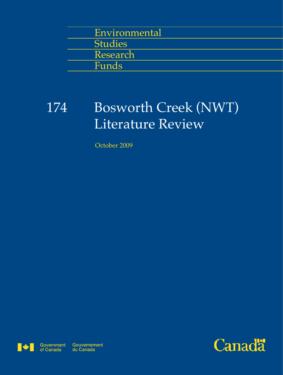| Environmental  |  |
|----------------|--|
| <b>Studies</b> |  |
| Research       |  |
| Funds          |  |
|                |  |

# Bosworth Creek (NWT) Literature Review 174

October 2009



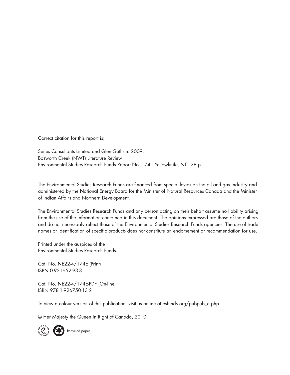Correct citation for this report is:

Senes Consultants Limited and Glen Guthrie. 2009. Bosworth Creek (NWT) Literature Review Environmental Studies Research Funds Report No. 174. Yellowknife, NT. 28 p.

The Environmental Studies Research Funds are financed from special levies on the oil and gas industry and administered by the National Energy Board for the Minister of Natural Resources Canada and the Minister of Indian Affairs and Northern Development.

The Environmental Studies Research Funds and any person acting on their behalf assume no liability arising from the use of the information contained in this document. The opinions expressed are those of the authors and do not necessarily reflect those of the Environmental Studies Research Funds agencies. The use of trade names or identification of specific products does not constitute an endorsement or recommendation for use.

Printed under the auspices of the Environmental Studies Research Funds

Cat. No. NE22-4/174E (Print) ISBN 0-921652-93-3

Cat. No. NE22-4/174E-PDF (On-line) ISBN 978-1-926750-13-2

To view a colour version of this publication, visit us online at esfunds.org/pubpub\_e.php

© Her Majesty the Queen in Right of Canada, 2010

Recycled paper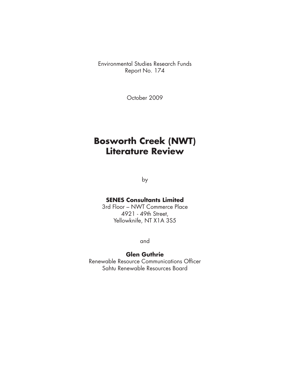Environmental Studies Research Funds Report No. 174

October 2009

# **Bosworth Creek (NWT) Literature Review**

by

#### **SENES Consultants Limited**

3rd Floor – NWT Commerce Place 4921 - 49th Street, Yellowknife, NT X1A 3S5

and

#### **Glen Guthrie**

Renewable Resource Communications Officer Sahtu Renewable Resources Board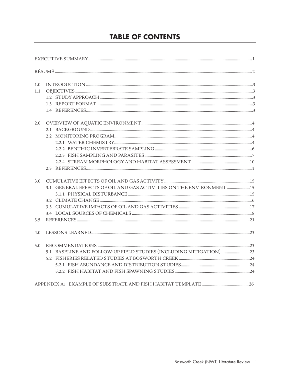# **TABLE OF CONTENTS**

| 1.0 |                                                                     |  |
|-----|---------------------------------------------------------------------|--|
| 1.1 |                                                                     |  |
|     |                                                                     |  |
|     |                                                                     |  |
|     |                                                                     |  |
| 2.0 |                                                                     |  |
|     |                                                                     |  |
|     |                                                                     |  |
|     |                                                                     |  |
|     |                                                                     |  |
|     |                                                                     |  |
|     |                                                                     |  |
|     |                                                                     |  |
| 3.0 |                                                                     |  |
|     | 3.1 GENERAL EFFECTS OF OIL AND GAS ACTIVITIES ON THE ENVIRONMENT 15 |  |
|     |                                                                     |  |
|     |                                                                     |  |
|     |                                                                     |  |
|     |                                                                     |  |
| 3.5 |                                                                     |  |
| 4.0 |                                                                     |  |
| 5.0 |                                                                     |  |
|     |                                                                     |  |
|     |                                                                     |  |
|     |                                                                     |  |
|     |                                                                     |  |
|     |                                                                     |  |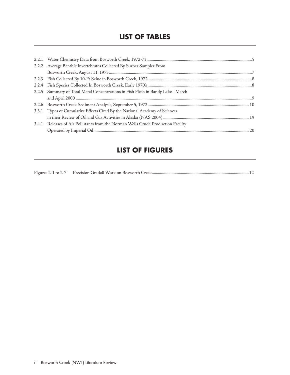### **LIST OF TABLES**

| 2.2.2 Average Benthic Invertebrates Collected By Surber Sampler From             |
|----------------------------------------------------------------------------------|
|                                                                                  |
|                                                                                  |
|                                                                                  |
| 2.2.5 Summary of Total Metal Concentrations in Fish Flesh in Bandy Lake - March  |
|                                                                                  |
|                                                                                  |
| 3.3.1 Types of Cumulative Effects Cited By the National Academy of Sciences      |
|                                                                                  |
| 3.4.1 Releases of Air Pollutants from the Norman Wells Crude Production Facility |
|                                                                                  |

## **LIST OF FIGURES**

|--|--|--|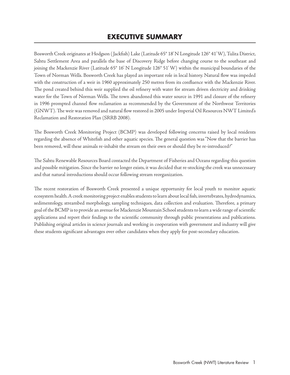# **EXECUTIVE SUMMARY**

Bosworth Creek originates at Hodgson ( Jackfish) Lake (Latitude 65° 18' N Longitude 126° 41' W), Tulita District, Sahtu Settlement Area and parallels the base of Discovery Ridge before changing course to the southeast and joining the Mackenzie River (Latitude 65° 16' N Longitude 126° 51' W) within the municipal boundaries of the Town of Norman Wells. Bosworth Creek has played an important role in local history. Natural flow was impeded with the construction of a weir in 1960 approximately 250 metres from its confluence with the Mackenzie River. The pond created behind this weir supplied the oil refinery with water for stream driven electricity and drinking water for the Town of Norman Wells. The town abandoned this water source in 1991 and closure of the refinery in 1996 prompted channel flow reclamation as recommended by the Government of the Northwest Territories (GNWT). The weir was removed and natural flow restored in 2005 under Imperial Oil Resources NWT Limited's Reclamation and Restoration Plan (SRRB 2008).

The Bosworth Creek Monitoring Project (BCMP) was developed following concerns raised by local residents regarding the absence of Whitefish and other aquatic species. The general question was "Now that the barrier has been removed, will these animals re-inhabit the stream on their own or should they be re-introduced?"

The Sahtu Renewable Resources Board contacted the Department of Fisheries and Oceans regarding this question and possible mitigation. Since the barrier no longer exists, it was decided that re-stocking the creek was unnecessary and that natural introductions should occur following stream reorganization.

The recent restoration of Bosworth Creek presented a unique opportunity for local youth to monitor aquatic ecosystem health. A creek monitoring project enables students to learn about local fish, invertebrates, hydrodynamics, sedimentology, streambed morphology, sampling techniques, data collection and evaluation. Therefore, a primary goal of the BCMP is to provide an avenue for Mackenzie Mountain School students to learn a wide range of scientific applications and report their findings to the scientific community through public presentations and publications. Publishing original articles in science journals and working in cooperation with government and industry will give these students significant advantages over other candidates when they apply for post-secondary education.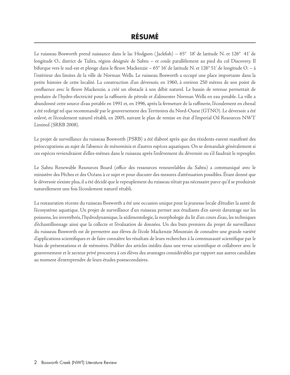Le ruisseau Bosworth prend naissance dans le lac Hodgson ( Jackfish) – 65° 18' de latitude N. et 126° 41' de longitude O., district de Tulita, région désignée de Sahtu – et coule parallèlement au pied du col Discovery. Il bifurque vers le sud-est et plonge dans le fleuve Mackenzie – 65° 16' de latitude N. et 126° 51' de longitude O. – à l'intérieur des limites de la ville de Norman Wells. Le ruisseau Bosworth a occupé une place importante dans la petite histoire de cette localité. La construction d'un déversoir, en 1960, à environ 250 mètres de son point de confluence avec le fleuve Mackenzie, a créé un obstacle à son débit naturel. Le bassin de retenue permettait de produire de l'hydro-électricité pour la raffinerie de pétrole et d'alimenter Norman Wells en eau potable. La ville a abandonné cette source d'eau potable en 1991 et, en 1996, après la fermeture de la raffinerie, l'écoulement en chenal a été redirigé tel que recommandé par le gouvernement des Territoires du Nord-Ouest (GTNO). Le déversoir a été enlevé, et l'écoulement naturel rétabli, en 2005, suivant le plan de remise en état d'Imperial Oil Resources NWT Limited (SRRB 2008).

Le projet de surveillance du ruisseau Bosworth (PSRB) a été élaboré après que des résidents eurent manifesté des préoccupations au sujet de l'absence de ménominis et d'autres espèces aquatiques. On se demandait généralement si ces espèces reviendraient d'elles-mêmes dans le ruisseau après l'enlèvement du déversoir ou s'il faudrait le repeupler.

Le Sahtu Renewable Resources Board (office des ressources renouvelables du Sahtu) a communiqué avec le ministère des Pêches et des Océans à ce sujet et pour discuter des mesures d'atténuation possibles. Étant donné que le déversoir n'existe plus, il a été décidé que le repeuplement du ruisseau n'était pas nécessaire parce qu'il se produirait naturellement une fois l'écoulement naturel rétabli.

La restauration récente du ruisseau Bosworth a été une occasion unique pour la jeunesse locale d'étudier la santé de l'écosystème aquatique. Un projet de surveillance d'un ruisseau permet aux étudiants d'en savoir davantage sur les poissons, les invertébrés, l'hydrodynamique, la sédimentologie, la morphologie du lit d'un cours d'eau, les techniques d'échantillonnage ainsi que la collecte et l'évaluation de données. Un des buts premiers du projet de surveillance du ruisseau Bosworth est de permettre aux élèves de l'école Mackenzie Mountain de connaître une grande variété d'applications scientifiques et de faire connaître les résultats de leurs recherches à la communauté scientifique par le biais de présentations et de mémoires. Publier des articles inédits dans une revue scientifique et collaborer avec le gouvernement et le secteur privé procurera à ces élèves des avantages considérables par rapport aux autres candidats au moment d'entreprendre de leurs études postsecondaires.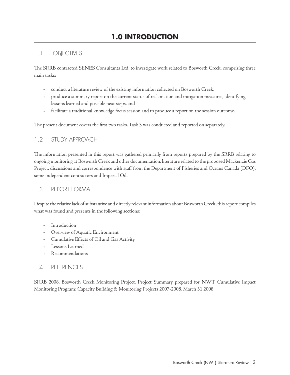#### 1.1 OBJECTIVES

The SRRB contracted SENES Consultants Ltd. to investigate work related to Bosworth Creek, comprising three main tasks:

- t conduct a literature review of the existing information collected on Bosworth Creek,
- + produce a summary report on the current status of reclamation and mitigation measures, identifying lessons learned and possible next steps, and
- t facilitate a traditional knowledge focus session and to produce a report on the session outcome.

The present document covers the first two tasks. Task 3 was conducted and reported on separately.

#### 1.2 STUDY APPROACH

The information presented in this report was gathered primarily from reports prepared by the SRRB relating to ongoing monitoring at Bosworth Creek and other documentation, literature related to the proposed Mackenzie Gas Project, discussions and correspondence with staff from the Department of Fisheries and Oceans Canada (DFO), some independent contractors and Imperial Oil.

#### 1.3 REPORT FORMAT

Despite the relative lack of substantive and directly relevant information about Bosworth Creek, this report compiles what was found and presents in the following sections:

- + Introduction
- + Overview of Aquatic Environment
- Cumulative Effects of Oil and Gas Activity
- Lessons Learned
- Recommendations

#### 1.4 REFERENCES

SRRB 2008. Bosworth Creek Monitoring Project. Project Summary prepared for NWT Cumulative Impact Monitoring Program: Capacity Building & Monitoring Projects 2007-2008. March 31 2008.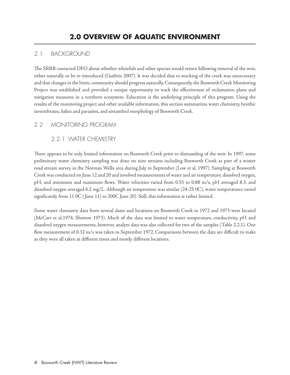#### 2.1 BACKGROUND

The SRRB contacted DFO about whether whitefish and other species would return following removal of the weir, either naturally or be re-introduced (Guthrie 2007). It was decided that re-stocking of the creek was unnecessary and that changes in the biotic community should progress naturally. Consequently, the Bosworth Creek Monitoring Project was established and provided a unique opportunity to track the effectiveness of reclamation plans and mitigation measures in a northern ecosystem. Education is the underlying principle of this program. Using the results of the monitoring project and other available information, this section summarizes water chemistry, benthic invertebrates, fishes and parasites, and streambed morphology of Bosworth Creek.

#### 2.2 MONITORING PROGRAM

#### 2.2.1 WATER CHEMISTRY

There appears to be only limited information on Bosworth Creek prior to dismantling of the weir. In 1997, some preliminary water chemistry sampling was done on nine streams including Bosworth Creek as part of a winter road stream survey in the Norman Wells area during July to September (Low et al. 1997). Sampling at Bosworth Creek was conducted on June 12 and 20 and involved measurements of water and air temperature, dissolved oxygen, pH, and minimum and maximum flows. Water velocities varied from 0.55 to 0.88 m/s, pH averaged 8.3, and dissolved oxygen averaged 6.2 mg/L. Although air temperature was similar (24-25 0C), water temperatures varied significantly from 11 0C ( June 11) to 200C June 20). Still, this information is rather limited.

Some water chemistry data from several dates and locations on Bosworth Creek in 1972 and 1973 were located (McCart et al.1974, Shotton 1973). Much of the data was limited to water temperature, conductivity, pH and dissolved oxygen measurements, however, analyte data was also collected for two of the samples (Table 2.2.1). One flow measurement of 0.32 m/s was taken in September 1972. Comparisons between the data are difficult to make as they were all taken at different times and mostly different locations.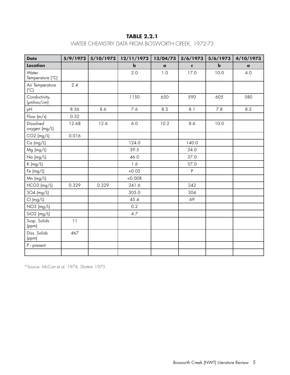#### **TABLE 2.2.1**

#### WATER CHEMISTRY DATA FROM BOSWORTH CREEK, 1972-73

| <b>Date</b>                          | 5/9/1972 | 5/10/1972 | 12/11/1972  | 13/04/73     | 5/6/1973    | 5/6/1973    | 4/10/1973    |
|--------------------------------------|----------|-----------|-------------|--------------|-------------|-------------|--------------|
| Location                             |          |           | $\mathbf b$ | $\mathbf{a}$ | $\mathbf c$ | $\mathbf b$ | $\mathbf{a}$ |
| Water<br>Temperature (°C)            |          |           | 2.0         | 1.0          | 17.0        | 10.0        | 4.0          |
| Air Temperature<br>(°C)              | 2.4      |           |             |              |             |             |              |
| Conductivity,<br>$(\mu m \cos / cm)$ |          |           | 1150        | 650          | 590         | 605         | 580          |
| pH                                   | 8.56     | 8.6       | 7.6         | 8.3          | 8.1         | 7.8         | 8.2          |
| Flow $(m/s)$                         | 0.32     |           |             |              |             |             |              |
| Dissolved<br>oxygen (mg/L)           | 12.68    | 12.6      | 6.0         | 10.2         | 8.6         | 10.0        |              |
| $CO2$ (mg/L)                         | 0.016    |           |             |              |             |             |              |
| $Ca$ (mg/L)                          |          |           | 124.0       |              | 140.0       |             |              |
| Mg (mg/L)                            |          |           | 39.5        |              | 34.0        |             |              |
| Na (mg/L)                            |          |           | 46.0        |              | 37.0        |             |              |
| $K$ (mg/L)                           |          |           | 1.6         |              | 37.0        |             |              |
| Fe (mg/L)                            |          |           | <0.05       |              | P           |             |              |
| Mn (mg/L)                            |          |           | &0.008      |              |             |             |              |
| HCO3 (mg/L)                          | 0.329    | 0.329     | 241.6       |              | 242         |             |              |
| $SO4$ (mg/L)                         |          |           | 305.0       |              | 304         |             |              |
| Cl (mg/L)                            |          |           | 45.4        |              | 69          |             |              |
| NO3 (mg/L)                           |          |           | 0.2         |              |             |             |              |
| $SiO2$ (mg/L)                        |          |           | 4.7         |              |             |             |              |
| Susp. Solids<br>(ppm)                | 11       |           |             |              |             |             |              |
| Diss. Solids<br>(ppm)                | 467      |           |             |              |             |             |              |
| P - present                          |          |           |             |              |             |             |              |
|                                      |          |           |             |              |             |             |              |

\*Source: McCart et al. 1974, Shotton 1973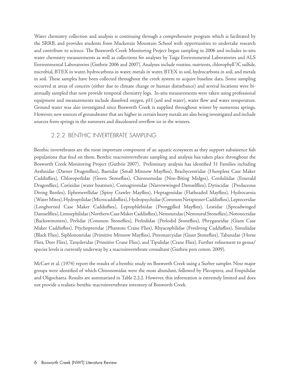Water chemistry collection and analysis is continuing through a comprehensive program which is facilitated by the SRRB, and provides students from Mackenzie Mountain School with opportunities to undertake research and contribute to science. The Bosworth Creek Monitoring Project began sampling in 2006 and includes in-situ water chemistry measurements as well as collections for analyses by Taiga Environmental Laboratories and ALS Environmental Laboratories (Guthrie 2006 and 2007). Analyses include routine, nutrients, chlorophyll "A", sulfide, microbial, BTEX in water, hydrocarbons in water, metals in water, BTEX in soil, hydrocarbons in soil, and metals in soil. These samples have been collected throughout the creek system to acquire baseline data. Some sampling occurred at areas of concern (either due to climate change or human disturbance) and several locations were biannually sampled that now provide temporal chemistry logs. In-situ measurements were taken using professional equipment and measurements include dissolved oxygen, pH (soil and water), water flow and water temperature. Ground water was also investigated since Bosworth Creek is supplied throughout winter by numerous springs. However, new sources of groundwater that are higher in certain heavy metals are also being investigated and include sources from springs in the summers and discoloured overflow ice in the winters.

#### 2.2.2 BENTHIC INVERTEBRATE SAMPLING

Benthic invertebrates are the most important component of an aquatic ecosystem as they support subsistence fish populations that feed on them. Benthic macroinvertebrate sampling and analysis has taken place throughout the Bosworth Creek Monitoring Project (Guthrie 2007). Preliminary analysis has identified 31 Families including Aeshnidae (Darner Dragonflies), Baetidae (Small Minnow Mayflies), Brachycentridae (Humpless Case Maker Caddisflies), Chloroperlidae (Green Stoneflies), Chironomidae (Non-Biting Midges), Corduliidae (Emerald Dragonflies), Corixidae (water boatmen), Coenagrionidae (Narrowwinged Damselflies), Dytiscidae (Predaceous Diving Beetles), Ephemerellidae (Spiny Crawler Mayflies), Heptageniidae (Flatheaded Mayflies), Hydrocarnia (Water Mites), Hydroptilidae (Microcaddisflies), Hydropsychidae (Common Netspinner Caddisflies), Leptoceridae (Longhorned Case Maker Caddisflies), Leptophlebiidae (Pronggilled Mayflies), Lestidae (Spreadwinged Damselflies), Limnephilidae (Northern Case Maker Caddisflies), Nemouridae (Nemourid Stoneflies), Notonectidae (Backswimmers), Perlidae (Common Stoneflies), Perlodidae (Perlodid Stoneflies), Phryganeidae (Giant Case Maker Caddisflies), Ptychopteridae (Phantom Crane Flies), Rhyacophilidae (Freeliving Caddisflies), Simuliidae (Black Flies), Siphlonouridae (Primitive Minnow Mayflies), Pteronarcyidae (Giant Stoneflies), Tabanidae (Horse Flies, Deer Flies), Tanyderidae (Primitive Crane Flies), and Tipulidae (Crane Flies). Further refinement to genus/ species levels is currently underway by a macroinvertebrate consultant (Guthrie pers comm. 2009).

McCart et al. (1974) report the results of a benthic study on Bosworth Creek using a Surber sampler. Nine major groups were identified of which Chironomidae were the most abundant, followed by Plecoptera, and Empididae and Oligochaeta. Results are summarised in Table 2.2.2. However, this information is extremely limited and does not provide a realistic benthic macroinvertebrate inventory of Bosworth Creek.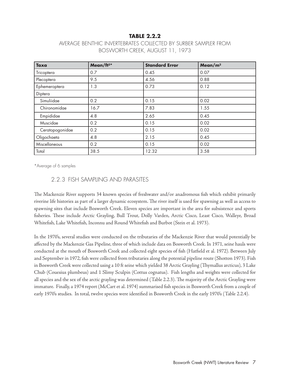#### **TABLE 2.2.2**

| <b>Taxa</b>     | Mean/ft <sup>2*</sup> | <b>Standard Error</b> | Mean/ $m2$ |  |
|-----------------|-----------------------|-----------------------|------------|--|
| Tricoptera      | 0.7                   | 0.45                  | 0.07       |  |
| Plecoptera      | 9.5                   | 4.56                  | 0.88       |  |
| Ephemeroptera   | 1.3                   | 0.73                  | 0.12       |  |
| Diptera         |                       |                       |            |  |
| Simuliidae      | 0.2                   | 0.15                  | 0.02       |  |
| Chironomidae    | 16.7                  | 7.83                  | 1.55       |  |
| Empididae       | 4.8                   | 2.65                  | 0.45       |  |
| Muscidae        | 0.2                   | 0.15                  | 0.02       |  |
| Ceratopogonidae | 0.2                   | 0.15                  | 0.02       |  |
| Oligochaeta     | 4.8                   | 2.15                  | 0.45       |  |
| Miscellaneous   | 0.2                   | 0.15                  | 0.02       |  |
| Total           | 38.5                  | 12.32                 | 3.58       |  |

#### AVERAGE BENTHIC INVERTEBRATES COLLECTED BY SURBER SAMPLER FROM BOSWORTH CREEK, AUGUST 11, 1973

\*Average of 6 samples

#### 2.2.3 FISH SAMPLING AND PARASITES

The Mackenzie River supports 34 known species of freshwater and/or anadromous fish which exhibit primarily riverine life histories as part of a larger dynamic ecosystem. The river itself is used for spawning as well as access to spawning sites that include Bosworth Creek. Eleven species are important in the area for subsistence and sports fisheries. These include Arctic Grayling, Bull Trout, Dolly Varden, Arctic Cisco, Least Cisco, Walleye, Broad Whitefish, Lake Whitefish, Inconnu and Round Whitefish and Burbot (Stein et al. 1973).

In the 1970's, several studies were conducted on the tributaries of the Mackenzie River that would potentially be affected by the Mackenzie Gas Pipeline, three of which include data on Bosworth Creek. In 1971, seine hauls were conducted at the mouth of Bosworth Creek and collected eight species of fish (Hatfield et al. 1972). Between July and September in 1972, fish were collected from tributaries along the potential pipeline route (Shotton 1973). Fish in Bosworth Creek were collected using a 10 ft seine which yielded 38 Arctic Grayling (Thymallus arcticus), 3 Lake Chub (Couesius plumbeus) and 1 Slimy Sculpin (Cottus cognatus). Fish lengths and weights were collected for all species and the sex of the arctic grayling was determined (Table 2.2.3). The majority of the Arctic Grayling were immature. Finally, a 1974 report (McCart et al. 1974) summarised fish species in Bosworth Creek from a couple of early 1970's studies. In total, twelve species were identified in Bosworth Creek in the early 1970's (Table 2.2.4).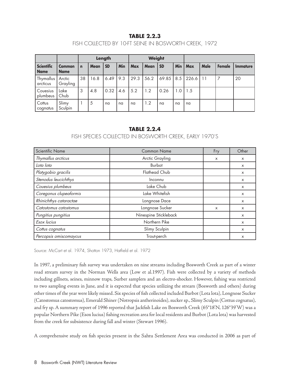#### **TABLE 2.2.3**

#### FISH COLLECTED BY 10-FT SEINE IN BOSWORTH CREEK, 1972

|                                  | Length                       |             |             |           | Weight |            |             |           |     |            |      |        |                               |
|----------------------------------|------------------------------|-------------|-------------|-----------|--------|------------|-------------|-----------|-----|------------|------|--------|-------------------------------|
| <b>Scientific</b><br><b>Name</b> | <b>Common</b><br><b>Name</b> | $\mathbf n$ | <b>Mean</b> | <b>SD</b> | Min    | <b>Max</b> | <b>Mean</b> | <b>SD</b> | Min | <b>Max</b> | Male | Female | <i><u><b>Immature</b></u></i> |
| Thymallus<br>arcticus            | Arctic<br>Grayling           | 38          | 16.8        | 6.49      | 9.3    | 29.3       | 56.2        | 69.85     | 8.5 | 226.6      | 11   | . 7    | 20                            |
| Couesius<br>plumbeus             | Lake<br>Chub                 | 3           | 4.8         | 0.32      | 4.6    | 5.2        | 1.2         | 0.26      | 1.0 | l 1.5      |      |        |                               |
| Cottus<br>cognatus               | Slimy<br>Sculpin             |             | 5           | na        | na     | na         | 1.2         | na        | na  | na         |      |        |                               |

#### **TABLE 2.2.4**

#### FISH SPECIES COLLECTED IN BOSWORTH CREEK, EARLY 1970'S

| <b>Scientific Name</b> | <b>Common Name</b>    | Fry                       | Other    |
|------------------------|-----------------------|---------------------------|----------|
| Thymallus arcticus     | Arctic Grayling       | X                         | $\times$ |
| Lota lota              | <b>Burbot</b>         |                           | $\times$ |
| Platygobio gracilis    | <b>Flathead Chub</b>  |                           | $\times$ |
| Stenodus leucichthys   | Inconnu               |                           | $\times$ |
| Couesius plumbeus      | Lake Chub             |                           | $\times$ |
| Coregonus clupeaformis | Lake Whitefish        |                           | $\times$ |
| Rhinichthys cataractae | Longnose Dace         |                           | $\times$ |
| Catostomus catostomus  | Longnose Sucker       | $\boldsymbol{\mathsf{x}}$ | $\times$ |
| Pungitius pungitius    | Ninespine Stickleback |                           | $\times$ |
| Esox lucius            | Northern Pike         |                           | $\times$ |
| Cottus cognatus        | Slimy Sculpin         |                           | X        |
| Percopsis omiscomaycus | Trout-perch           |                           | X        |

Source: McCart et al. 1974, Shotton 1973, Hatfield et al. 1972

In 1997, a preliminary fish survey was undertaken on nine streams including Bosworth Creek as part of a winter road stream survey in the Norman Wells area (Low et al.1997). Fish were collected by a variety of methods including gillnets, seines, minnow traps, Surber samplers and an electro-shocker. However, fishing was restricted to two sampling events in June, and it is expected that species utilizing the stream (Bosworth and others) during other times of the year were likely missed. Six species of fish collected included Burbot (Lota lota), Longnose Sucker (Catostomus catostomus), Emerald Shiner (Notropsis antherinoides), sucker sp., Slimy Sculpin (Cottus cognatus), and fry sp. A summary report of 1996 reported that Jackfish Lake on Bosworth Creek (65°18'N, 126°39'W) was a popular Northern Pike (Esox lucius) fishing recreation area for local residents and Burbot (Lota lota) was harvested from the creek for subsistence during fall and winter (Stewart 1996).

A comprehensive study on fish species present in the Sahtu Settlement Area was conducted in 2006 as part of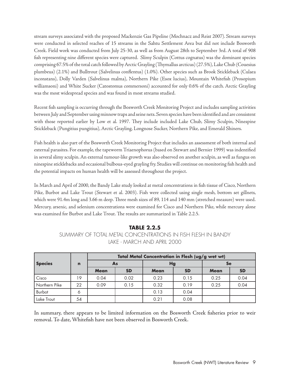stream surveys associated with the proposed Mackenzie Gas Pipeline (Mochnacz and Reist 2007). Stream surveys were conducted in selected reaches of 15 streams in the Sahtu Settlement Area but did not include Bosworth Creek. Field work was conducted from July 25-30, as well as from August 28th to September 3rd. A total of 908 fish representing nine different species were captured. Slimy Sculpin (Cottus cognatus) was the dominant species comprising 67.5% of the total catch followed by Arctic Grayling (Thymallus arcticus) (27.5%), Lake Chub (Couesius plumbeus) (2.1%) and Bulltrout (Salvelinus conflentus) (1.0%). Other species such as Brook Stickleback (Culaea inconstans), Dolly Varden (Salvelinus malma), Northern Pike (Esox lucius), Mountain Whitefish (Prosopium williamsoni) and White Sucker (Catostomus commersoni) accounted for only 0.6% of the catch. Arctic Grayling was the most widespread species and was found in most streams studied.

Recent fish sampling is occurring through the Bosworth Creek Monitoring Project and includes sampling activities between July and September using minnow traps and seine nets. Seven species have been identified and are consistent with those reported earlier by Low et al. 1997. They include included Lake Chub, Slimy Sculpin, Ninespine Stickleback (Pungitius pungitius), Arctic Grayling, Longnose Sucker, Northern Pike, and Emerald Shiners.

Fish health is also part of the Bosworth Creek Monitoring Project that includes an assessment of both internal and external parasites. For example, the tapeworm Triaenophorus (based on Stewart and Bernier 1999) was indentified in several slimy sculpin. An external tumour-like growth was also observed on another sculpin, as well as fungus on ninespine sticklebacks and occasional bulbous-eyed grayling fry. Studies will continue on monitoring fish health and the potential impacts on human health will be assessed throughout the project.

In March and April of 2000, the Bandy Lake study looked at metal concentrations in fish tissue of Cisco, Northern Pike, Burbot and Lake Trout (Stewart et al. 2003). Fish were collected using single mesh, bottom set gillnets, which were 91.4m long and 3.66 m deep. Three mesh sizes of 89, 114 and 140 mm (stretched measure) were used. Mercury, arsenic, and selenium concentrations were examined for Cisco and Northern Pike, while mercury alone was examined for Burbot and Lake Trout. The results are summarized in Table 2.2.5.

#### **TABLE 2.2.5** SUMMARY OF TOTAL METAL CONCENTRATIONS IN FISH FLESH IN BANDY LAKE - MARCH AND APRIL 2000

|                | $\mathbf n$ | Total Metal Concentration in Flesh (ug/g wet wt) |           |             |           |             |           |  |  |
|----------------|-------------|--------------------------------------------------|-----------|-------------|-----------|-------------|-----------|--|--|
| <b>Species</b> |             |                                                  | As        | Hg          |           | Se          |           |  |  |
|                |             | <b>Mean</b>                                      | <b>SD</b> | <b>Mean</b> | <b>SD</b> | <b>Mean</b> | <b>SD</b> |  |  |
| Cisco          | 19.         | 0.04                                             | 0.02      | 0.23        | 0.15      | 0.25        | 0.04      |  |  |
| Northern Pike  | 22          | 0.09                                             | 0.15      | 0.32        | 0.19      | 0.25        | 0.04      |  |  |
| Burbot         | Ó           |                                                  |           | 0.13        | 0.04      |             |           |  |  |
| Lake Trout     | 54          |                                                  |           | 0.21        | 0.08      |             |           |  |  |

In summary, there appears to be limited information on the Bosworth Creek fisheries prior to weir removal. To date, Whitefish have not been observed in Bosworth Creek.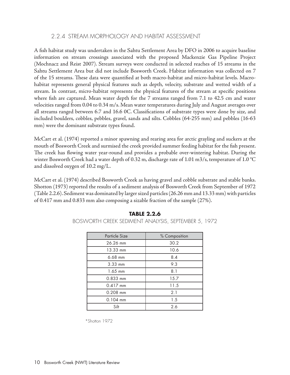#### 2.2.4 STREAM MORPHOLOGY AND HABITAT ASSESSMENT

A fish habitat study was undertaken in the Sahtu Settlement Area by DFO in 2006 to acquire baseline information on stream crossings associated with the proposed Mackenzie Gas Pipeline Project (Mochnacz and Reist 2007). Stream surveys were conducted in selected reaches of 15 streams in the Sahtu Settlement Area but did not include Bosworth Creek. Habitat information was collected on 7 of the 15 streams. These data were quantified at both macro-habitat and micro-habitat levels. Macrohabitat represents general physical features such as depth, velocity, substrate and wetted width of a stream. In contrast, micro-habitat represents the physical features of the stream at specific positions where fish are captured. Mean water depth for the 7 streams ranged from 7.1 to 42.5 cm and water velocities ranged from 0.04 to 0.34 m/s. Mean water temperatures during July and August averages over all streams ranged between 6.7 and 16.6 0C. Classifications of substrate types were done by size, and included boulders, cobbles, pebbles, gravel, sands and silts. Cobbles (64-255 mm) and pebbles (16-63 mm) were the dominant substrate types found.

McCart et al. (1974) reported a minor spawning and rearing area for arctic grayling and suckers at the mouth of Bosworth Creek and surmised the creek provided summer feeding habitat for the fish present. The creek has flowing water year-round and provides a probable over-wintering habitat. During the winter Bosworth Creek had a water depth of 0.32 m, discharge rate of 1.01 m3/s, temperature of 1.0 °C and dissolved oxygen of 10.2 mg/L.

McCart et al. (1974) described Bosworth Creek as having gravel and cobble substrate and stable banks. Shotton (1973) reported the results of a sediment analysis of Bosworth Creek from September of 1972 (Table 2.2.6). Sediment was dominated by larger sized particles (26.26 mm and 13.33 mm) with particles of 0.417 mm and 0.833 mm also composing a sizable fraction of the sample (27%).

| <b>Particle Size</b> | % Composition |  |  |  |
|----------------------|---------------|--|--|--|
| 26.26 mm             | 30.2          |  |  |  |
| 13.33 mm             | 10.6          |  |  |  |
| $6.68$ mm            | 8.4           |  |  |  |
| $3.33$ mm            | 9.3           |  |  |  |
| $1.65$ mm            | 8.1           |  |  |  |
| 0.833 mm             | 15.7          |  |  |  |
| $0.417$ mm           | 11.5          |  |  |  |
| $0.208$ mm           | 2.1           |  |  |  |
| $0.104$ mm           | 1.5           |  |  |  |
| Silt                 | 2.6           |  |  |  |

#### **TABLE 2.2.6**

BOSWORTH CREEK SEDIMENT ANALYSIS, SEPTEMBER 5, 1972

\*Shotton 1972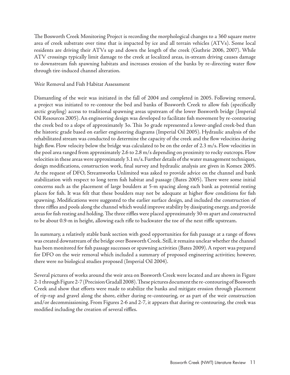The Bosworth Creek Monitoring Project is recording the morphological changes to a 360 square metre area of creek substrate over time that is impacted by ice and all terrain vehicles (ATVs). Some local residents are driving their ATVs up and down the length of the creek (Guthrie 2006, 2007). While ATV crossings typically limit damage to the creek at localized areas, in-stream driving causes damage to downstream fish spawning habitats and increases erosion of the banks by re-directing water flow through tire-induced channel alteration.

#### Weir Removal and Fish Habitat Assessment

Dismantling of the weir was initiated in the fall of 2004 and completed in 2005. Following removal, a project was initiated to re-contour the bed and banks of Bosworth Creek to allow fish (specifically arctic grayling) access to traditional spawning areas upstream of the lower Bosworth bridge (Imperial Oil Resources 2005). An engineering design was developed to facilitate fish movement by re-contouring the creek bed to a slope of approximately 3o. This 3o grade represented a lower-angled creek-bed than the historic grade based on earlier engineering diagrams (Imperial Oil 2005). Hydraulic analysis of the rehabilitated stream was conducted to determine the capacity of the creek and the flow velocities during high flow. Flow velocity below the bridge was calculated to be on the order of 2.3 m/s. Flow velocities in the pool area ranged from approximately 2.6 to 2.8 m/s depending on proximity to rocky outcrops. Flow velocities in these areas were approximately 3.1 m/s. Further details of the water management techniques, design modifications, construction work, final survey and hydraulic analysis are given in Komex 2005. At the request of DFO, Streamworks Unlimited was asked to provide advice on the channel and bank stabilization with respect to long term fish habitat and passage (Bates 2005). There were some initial concerns such as the placement of large boulders at 5-m spacing along each bank as potential resting places for fish. It was felt that these boulders may not be adequate at higher flow conditions for fish spawning. Modifications were suggested to the earlier surface design, and included the construction of three riffles and pools along the channel which would improve stability by dissipating energy, and provide areas for fish resting and holding. The three riffles were placed approximately 30-m apart and constructed to be about 0.9-m in height, allowing each rifle to backwater the toe of the next riffle upstream.

In summary, a relatively stable bank section with good opportunities for fish passage at a range of flows was created downstream of the bridge over Bosworth Creek. Still, it remains unclear whether the channel has been monitored for fish passage successes or spawning activities (Bates 2009). A report was prepared for DFO on the weir removal which included a summary of proposed engineering activities; however, there were no biological studies proposed (Imperial Oil 2004).

Several pictures of works around the weir area on Bosworth Creek were located and are shown in Figure 2-1 through Figure 2-7 (Precision Gradall 2008). These pictures document the re-contouring of Bosworth Creek and show that efforts were made to stabilize the banks and mitigate erosion through placement of rip-rap and gravel along the shore, either during re-contouring, or as part of the weir construction and/or decommissioning. From Figures 2-6 and 2-7, it appears that during re-contouring, the creek was modified including the creation of several riffles.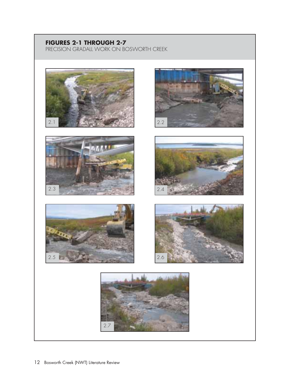### **FIGURES 2-1 THROUGH 2-7**

PRECISION GRADALL WORK ON BOSWORTH CREEK













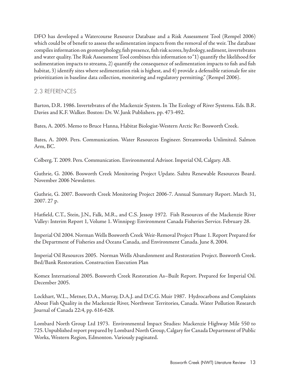DFO has developed a Watercourse Resource Database and a Risk Assessment Tool (Rempel 2006) which could be of benefit to assess the sedimentation impacts from the removal of the weir. The database compiles information on geomorphology, fish presence, fish risk scores, hydrology, sediment, invertebrates and water quality. The Risk Assessment Tool combines this information to "1) quantify the likelihood for sedimentation impacts to streams, 2) quantify the consequence of sedimentation impacts to fish and fish habitat, 3) identify sites where sedimentation risk is highest, and 4) provide a defensible rationale for site prioritization in baseline data collection, monitoring and regulatory permitting." (Rempel 2006).

#### 2.3 REFERENCES

Barton, D.R. 1986. Invertebrates of the Mackenzie System. In The Ecology of River Systems. Eds. B.R. Davies and K.F. Walker. Boston: Dr. W. Junk Publishers. pp. 473-492.

Bates, A. 2005. Memo to Bruce Hanna, Habitat Biologist-Western Arctic Re: Bosworth Creek.

Bates, A. 2009. Pers. Communication. Water Resources Engineer. Streamworks Unlimited. Salmon Arm, BC.

Colberg, T. 2009. Pers. Communication. Environmental Advisor. Imperial Oil, Calgary. AB.

Guthrie, G. 2006. Bosworth Creek Monitoring Project Update. Sahtu Renewable Resources Board. November 2006 Newsletter.

Guthrie, G. 2007. Bosworth Creek Monitoring Project 2006-7. Annual Summary Report. March 31, 2007. 27 p.

Hatfield, C.T., Stein, J.N., Falk, M.R., and C.S. Jessop 1972. Fish Resources of the Mackenzie River Valley: Interim Report 1, Volume 1. Winnipeg: Environment Canada Fisheries Service. February 28.

Imperial Oil 2004. Norman Wells Bosworth Creek Weir-Removal Project Phase 1. Report Prepared for the Department of Fisheries and Oceans Canada, and Environment Canada. June 8, 2004.

Imperial Oil Resources 2005. Norman Wells Abandonment and Restoration Project. Bosworth Creek. Bed/Bank Restoration. Construction Execution Plan

Komex International 2005. Bosworth Creek Restoration As–Built Report. Prepared for Imperial Oil. December 2005.

Lockhart, W.L., Metner, D.A., Murray, D.A.J. and D.C.G. Muir 1987. Hydrocarbons and Complaints About Fish Quality in the Mackenzie River, Northwest Territories, Canada. Water Pollution Research Journal of Canada 22:4, pp. 616-628.

Lombard North Group Ltd 1973. Environmental Impact Studies: Mackenzie Highway Mile 550 to 725. Unpublished report prepared by Lombard North Group, Calgary for Canada Department of Public Works, Western Region, Edmonton. Variously paginated.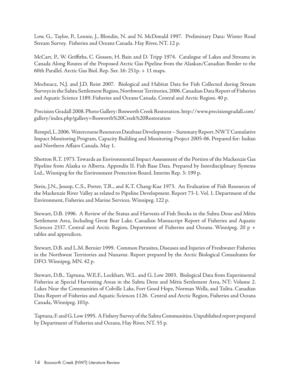Low, G., Taylor, P., Lennie, J., Blondin, N. and N. McDonald 1997. Preliminary Data: Winter Road Stream Survey. Fisheries and Oceans Canada. Hay River, NT. 12 p.

McCart, P., W. Griffiths, C. Gossen, H. Bain and D. Tripp 1974. Catalogue of Lakes and Streams in Canada Along Routes of the Proposed Arctic Gas Pipeline from the Alaskan/Canadian Border to the 60th Parallel. Arctic Gas Biol. Rep. Ser. 16: 251p. + 11 maps.

Mochnacz, N.J. and J.D. Reist 2007. Biological and Habitat Data for Fish Collected during Stream Surveys in the Sahtu Settlement Region, Northwest Territories, 2006. Canadian Data Report of Fisheries and Aquatic Science 1189. Fisheries and Oceans Canada. Central and Arctic Region. 40 p.

Precision Gradall 2008. Photo Gallery: Bosworth Creek Restoration. http://www.precisiongradall.com/ gallery/index.php?gallery=Bosworth%20Creek%20Restoration

Rempel, L. 2006. Watercourse Resources Database Development – Summary Report. NWT Cumulative Impact Monitoring Program, Capacity Building and Monitoring Project 2005-06. Prepared for: Indian and Northern Affairs Canada. May 1.

Shotton R.T. 1973. Towards an Environmental Impact Assessment of the Portion of the Mackenzie Gas Pipeline from Alaska to Alberta. Appendix II. Fish Base Data. Prepared by Interdisciplinary Systems Ltd., Winnipeg for the Environment Protection Board. Interim Rep. 3: 199 p.

Stein, J.N., Jessop, C.S., Porter, T.R., and K.T. Chang-Kue 1973. An Evaluation of Fish Resources of the Mackenzie River Valley as related to Pipeline Development. Report 73-1. Vol. 1. Department of the Environment, Fisheries and Marine Services. Winnipeg. 122 p.

Stewart, D.B. 1996. A Review of the Status and Harvests of Fish Stocks in the Sahtu Dene and Métis Settlement Area, Including Great Bear Lake. Canadian Manuscript Report of Fisheries and Aquatic Sciences 2337. Central and Arctic Region, Department of Fisheries and Oceans. Winnipeg. 20 p + tables and appendices.

Stewart, D.B. and L.M. Bernier 1999. Common Parasites, Diseases and Injuries of Freshwater Fisheries in the Northwest Territories and Nunavut. Report prepared by the Arctic Biological Consultants for DFO. Winnipeg, MN. 42 p.

Stewart, D.B., Taptuna, W.E.F., Lockhart, W.L. and G. Low 2003. Biological Data from Experimental Fisheries at Special Harvesting Areas in the Sahtu Dene and Métis Settlement Area, NT: Volume 2. Lakes Near the Communities of Colville Lake, Fort Good Hope, Norman Wells, and Tulita. Canadian Data Report of Fisheries and Aquatic Sciences 1126. Central and Arctic Region, Fisheries and Oceans Canada, Winnipeg. 101p.

Taptuna, F. and G. Low 1995. A Fishery Survey of the Sahtu Communities. Unpublished report prepared by Department of Fisheries and Oceans, Hay River, NT. 55 p.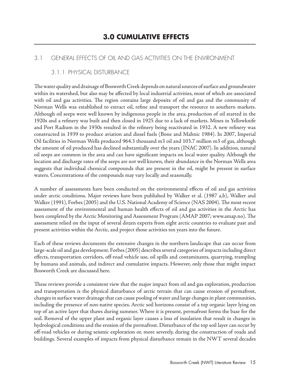#### 3.1 GENERAL EFFECTS OF OIL AND GAS ACTIVITIES ON THE ENVIRONMENT

#### 3.1.1 PHYSICAL DISTURBANCE

The water quality and drainage of Bosworth Creek depends on natural sources of surface and groundwater within its watershed, but also may be affected by local industrial activities, most of which are associated with oil and gas activities. The region contains large deposits of oil and gas and the community of Norman Wells was established to extract oil, refine and transport the resource to southern markets. Although oil seeps were well known by indigenous people in the area, production of oil started in the 1920s and a refinery was built and then closed in 1925 due to a lack of markets. Mines in Yellowknife and Port Radium in the 1930s resulted in the refinery being reactivated in 1932. A new refinery was constructed in 1939 to produce aviation and diesel fuels (Bone and Mahnic 1984). In 2007, Imperial Oil facilities in Norman Wells produced 964.3 thousand m3 oil and 103.7 million m3 of gas, although the amount of oil produced has declined substantially over the years (INAC 2007). In addition, natural oil seeps are common in the area and can have significant impacts on local water quality. Although the location and discharge rates of the seeps are not well known, their abundance in the Norman Wells area suggests that individual chemical compounds that are present in the oil, might be present in surface waters. Concentrations of the compounds may vary locally and seasonally.

A number of assessments have been conducted on the environmental effects of oil and gas activities under arctic conditions. Major reviews have been published by Walker et al. (1987 a,b), Walker and Walker (1991), Forbes (2005) and the U.S. National Academy of Science (NAS 2004). The most recent assessment of the environmental and human health effects of oil and gas activities in the Arctic has been completed by the Arctic Monitoring and Assessment Program (AMAP 2007; www.amap.no). The assessment relied on the input of several dozen experts from eight arctic countries to evaluate past and present activities within the Arctic, and project those activities ten years into the future.

Each of these reviews documents the extensive changes in the northern landscape that can occur from large-scale oil and gas development. Forbes (2005) describes several categories of impacts including direct effects, transportation corridors, off-road vehicle use, oil spills and contaminants, quarrying, trampling by humans and animals, and indirect and cumulative impacts. However, only those that might impact Bosworth Creek are discussed here.

These reviews provide a consistent view that the major impact from oil and gas exploration, production and transportation is the physical disturbance of arctic terrain that can cause erosion of permafrost, changes in surface water drainage that can cause pooling of water and large changes in plant communities, including the presence of non-native species. Arctic soil horizons consist of a top organic layer lying on top of an active layer that thaws during summer. Where it is present, permafrost forms the base for the soil. Removal of the upper plant and organic layer causes a loss of insulation that result in changes in hydrological conditions and the erosion of the permafrost. Disturbance of the top soil layer can occur by off-road vehicles or during seismic exploration or, more severely, during the construction of roads and buildings. Several examples of impacts from physical disturbance remain in the NWT several decades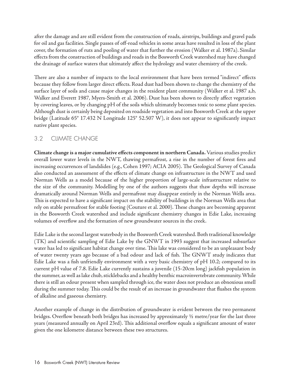after the damage and are still evident from the construction of roads, airstrips, buildings and gravel pads for oil and gas facilities. Single passes of off-road vehicles in some areas have resulted in loss of the plant cover, the formation of ruts and pooling of water that further the erosion (Walker et al. 1987a). Similar effects from the construction of buildings and roads in the Bosworth Creek watershed may have changed the drainage of surface waters that ultimately affect the hydrology and water chemistry of the creek.

There are also a number of impacts to the local environment that have been termed "indirect" effects because they follow from larger direct effects. Road dust had been shown to change the chemistry of the surface layer of soils and cause major changes in the resident plant community (Walker et al. 1987 a,b, Walker and Everett 1987, Myers-Smith et al. 2006). Dust has been shown to directly affect vegetation by covering leaves, or by changing pH of the soils which ultimately becomes toxic to some plant species. Although dust is certainly being deposited on roadside vegetation and into Bosworth Creek at the upper bridge (Latitude 65° 17.432 N Longitude 125° 52.507 W), it does not appear to significantly impact native plant species.

#### 3.2 CLIMATE CHANGE

**Climate change is a major cumulative effects component in northern Canada.** Various studies predict overall lower water levels in the NWT, thawing permafrost, a rise in the number of forest fires and increasing occurrences of landslides (e.g., Cohen 1997; ACIA 2005). The Geological Survey of Canada also conducted an assessment of the effects of climate change on infrastructure in the NWT and used Norman Wells as a model because of the higher proportion of large-scale infrastructure relative to the size of the community. Modelling by one of the authors suggests that thaw depths will increase dramatically around Norman Wells and permafrost may disappear entirely in the Norman Wells area. This is expected to have a significant impact on the stability of buildings in the Norman Wells area that rely on stable permafrost for stable footing (Couture et al. 2000). These changes are becoming apparent in the Bosworth Creek watershed and include significant chemistry changes in Edie Lake, increasing volumes of overflow and the formation of new groundwater sources in the creek.

Edie Lake is the second largest waterbody in the Bosworth Creek watershed. Both traditional knowledge (TK) and scientific sampling of Edie Lake by the GNWT in 1993 suggest that increased subsurface water has led to significant habitat change over time. This lake was considered to be an unpleasant body of water twenty years ago because of a bad odour and lack of fish. The GNWT study indicates that Edie Lake was a fish unfriendly environment with a very basic chemistry of pH 10.2; compared to its current pH value of 7.8. Edie Lake currently sustains a juvenile (15-20cm long) jackfish population in the summer, as well as lake chub, sticklebacks and a healthy benthic macroinvertebrate community. While there is still an odour present when sampled through ice, the water does not produce an obnoxious smell during the summer today. This could be the result of an increase in groundwater that flushes the system of alkaline and gaseous chemistry.

Another example of change in the distribution of groundwater is evident between the two permanent bridges. Overflow beneath both bridges has increased by approximately ½ metre/year for the last three years (measured annually on April 23rd). This additional overflow equals a significant amount of water given the one kilometre distance between these two structures.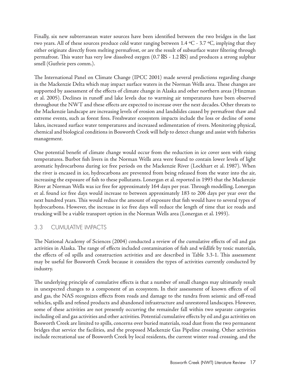Finally, six new subterranean water sources have been identified between the two bridges in the last two years. All of these sources produce cold water ranging between 1.4 °C - 3.7 °C, implying that they either originate directly from melting permafrost, or are the result of subsurface water filtering through permafrost. This water has very low dissolved oxygen  $(0.7 \times S - 1.2 \times S)$  and produces a strong sulphur smell (Guthrie pers comm.).

The International Panel on Climate Change (IPCC 2001) made several predictions regarding change in the Mackenzie Delta which may impact surface waters in the Norman Wells area. These changes are supported by assessment of the effects of climate change in Alaska and other northern areas (Hinzman et al. 2005). Declines in runoff and lake levels due to warming air temperatures have been observed throughout the NWT and these effects are expected to increase over the next decades. Other threats to the Mackenzie landscape are increasing levels of erosion and landslides caused by permafrost thaw and extreme events, such as forest fires. Freshwater ecosystem impacts include the loss or decline of some lakes, increased surface water temperatures and increased sedimentation of rivers. Monitoring physical, chemical and biological conditions in Bosworth Creek will help to detect change and assist with fisheries management.

One potential benefit of climate change would occur from the reduction in ice cover seen with rising temperatures. Burbot fish livers in the Norman Wells area were found to contain lower levels of light aromatic hydrocarbons during ice free periods on the Mackenzie River (Lockhart et al. 1987). When the river is encased in ice, hydrocarbons are prevented from being released from the water into the air, increasing the exposure of fish to these pollutants. Lonergan et al. reported in 1993 that the Mackenzie River at Norman Wells was ice free for approximately 164 days per year. Through modelling, Lonergan et al. found ice free days would increase to between approximately 183 to 206 days per year over the next hundred years. This would reduce the amount of exposure that fish would have to several types of hydrocarbons. However, the increase in ice free days will reduce the length of time that ice roads and trucking will be a viable transport option in the Norman Wells area (Lonergan et al. 1993).

#### 3.3 CUMULATIVE IMPACTS

The National Academy of Sciences (2004) conducted a review of the cumulative effects of oil and gas activities in Alaska. The range of effects included contamination of fish and wildlife by toxic materials, the effects of oil spills and construction activities and are described in Table 3.3-1. This assessment may be useful for Bosworth Creek because it considers the types of activities currently conducted by industry.

The underlying principle of cumulative effects is that a number of small changes may ultimately result in unexpected changes to a component of an ecosystem. In their assessment of known effects of oil and gas, the NAS recognizes effects from roads and damage to the tundra from seismic and off-road vehicles, spills and refined products and abandoned infrastructure and unrestored landscapes. However, some of these activities are not presently occurring the remainder fall within two separate categories including oil and gas activities and other activities. Potential cumulative effects by oil and gas activities on Bosworth Creek are limited to spills, concerns over buried materials, road dust from the two permanent bridges that service the facilities, and the proposed Mackenzie Gas Pipeline crossing. Other activities include recreational use of Bosworth Creek by local residents, the current winter road crossing, and the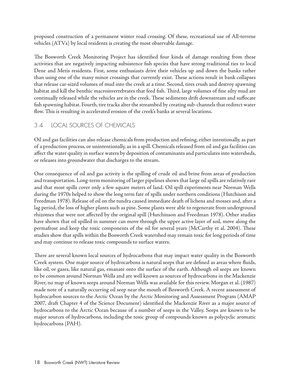proposed construction of a permanent winter road crossing. Of these, recreational use of All-terrene vehicles (ATVs) by local residents is creating the most observable damage.

The Bosworth Creek Monitoring Project has identified four kinds of damage resulting from these activities that are negatively impacting subsistence fish species that have strong traditional ties to local Dene and Metis residents. First, some enthusiasts drive their vehicles up and down the banks rather than using one of the many minor crossings that currently exist. These actions result in bank collapses that release car-sized volumes of mud into the creek at a time. Second, tires crush and destroy spawning habitat and kill the benthic macroinvertebrates that feed fish. Third, large volumes of fine silty mud are continually released while the vehicles are in the creek. These sediments drift downstream and suffocate fish spawning habitat. Fourth, tire tracks alter the streambed by creating sub-channels that redirect water flow. This is resulting in accelerated erosion of the creek's banks at several locations.

#### 3.4 LOCAL SOURCES OF CHEMICALS

Oil and gas facilities can also release chemicals from production and refining, either intentionally, as part of a production process, or unintentionally, as in a spill. Chemicals released from oil and gas facilities can affect the water quality in surface waters by deposition of contaminants and particulates into watersheds, or releases into groundwater that discharges to the stream.

One consequence of oil and gas activity is the spilling of crude oil and brine from areas of production and transportation. Long-term monitoring of larger pipelines shows that large oil spills are relatively rare and that most spills cover only a few square meters of land. Oil spill experiments near Norman Wells during the 1970s helped to show the long term fate of spills under northern conditions (Hutchison and Freedman 1978). Release of oil on the tundra caused immediate death of lichens and mosses and, after a lag period, the loss of higher plants such as pine. Some plants were able to regenerate from underground rhizomes that were not affected by the original spill (Hutchinson and Freedman 1978). Other studies have shown that oil spilled in summer can move through the upper active layer of soil, move along the permafrost and keep the toxic components of the oil for several years (McCarthy et al. 2004). These studies show that spills within the Bosworth Creek watershed may remain toxic for long periods of time and may continue to release toxic compounds to surface waters.

There are several known local sources of hydrocarbons that may impact water quality in the Bosworth Creek system. One major source of hydrocarbons is natural seeps that are defined as areas where fluids, like oil, or gases, like natural gas, emanate onto the surface of the earth. Although oil seeps are known to be common around Norman Wells and are well known as sources of hydrocarbons in the Mackenzie River, no map of known seeps around Norman Wells was available for this review. Morgan et al. (1987) made note of a naturally occurring oil seep near the mouth of Bosworth Creek. A recent assessment of hydrocarbon sources to the Arctic Ocean by the Arctic Monitoring and Assessment Program (AMAP 2007, draft Chapter 4 of the Science Document) identified the Mackenzie River as a major source of hydrocarbons to the Arctic Ocean because of a number of seeps in the Valley. Seeps are known to be major sources of hydrocarbons, including the toxic group of compounds known as polycyclic aromatic hydrocarbons (PAH).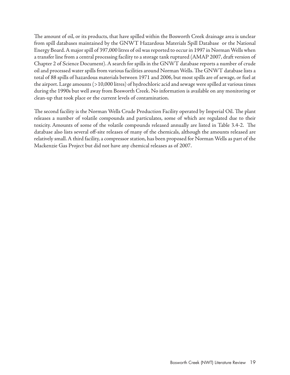The amount of oil, or its products, that have spilled within the Bosworth Creek drainage area is unclear from spill databases maintained by the GNWT Hazardous Materials Spill Database or the National Energy Board. A major spill of 397,000 litres of oil was reported to occur in 1997 in Norman Wells when a transfer line from a central processing facility to a storage tank ruptured (AMAP 2007, draft version of Chapter 2 of Science Document). A search for spills in the GNWT database reports a number of crude oil and processed water spills from various facilities around Norman Wells. The GNWT database lists a total of 88 spills of hazardous materials between 1971 and 2006, but most spills are of sewage, or fuel at the airport. Large amounts (>10,000 litres) of hydrochloric acid and sewage were spilled at various times during the 1990s but well away from Bosworth Creek. No information is available on any monitoring or clean-up that took place or the current levels of contamination.

The second facility is the Norman Wells Crude Production Facility operated by Imperial Oil. The plant releases a number of volatile compounds and particulates, some of which are regulated due to their toxicity. Amounts of some of the volatile compounds released annually are listed in Table 3.4-2. The database also lists several off-site releases of many of the chemicals, although the amounts released are relatively small. A third facility, a compressor station, has been proposed for Norman Wells as part of the Mackenzie Gas Project but did not have any chemical releases as of 2007.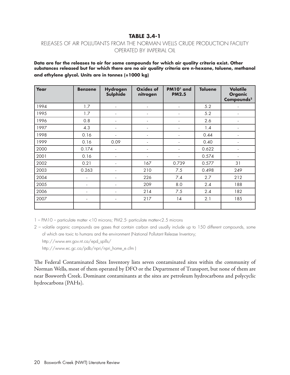#### **TABLE 3.4-1**

#### RELEASES OF AIR POLLUTANTS FROM THE NORMAN WELLS CRUDE PRODUCTION FACILITY OPERATED BY IMPERIAL OIL

**Data are for the releases to air for some compounds for which air quality criteria exist. Other substances released but for which there are no air quality criteria are n-hexane, toluene, methanol and ethylene glycol. Units are in tonnes (=1000 kg)**

| Year | <b>Benzene</b>           | <b>Hydrogen</b><br>Sulphide | <b>Oxides of</b><br>nitrogen | PM10 <sup>1</sup> and<br><b>PM2.5</b> | <b>Toluene</b> | <b>Volatile</b><br><b>Organic</b><br>Compounds <sup>2</sup> |
|------|--------------------------|-----------------------------|------------------------------|---------------------------------------|----------------|-------------------------------------------------------------|
| 1994 | 1.7                      |                             | ٠                            | $\overline{\phantom{a}}$              | 5.2            |                                                             |
| 1995 | 1.7                      |                             | ٠                            |                                       | 5.2            |                                                             |
| 1996 | 0.8                      |                             |                              |                                       | 2.6            |                                                             |
| 1997 | 4.3                      |                             | $\overline{a}$               |                                       | 1.4            |                                                             |
| 1998 | 0.16                     | $\overline{\phantom{a}}$    | ٠                            | $\overline{\phantom{a}}$              | 0.44           | $\overline{\phantom{a}}$                                    |
| 1999 | 0.16                     | 0.09                        | ٠                            | ٠                                     | 0.40           | $\overline{\phantom{a}}$                                    |
| 2000 | 0.174                    |                             | ٠                            | ä,                                    | 0.622          | $\overline{\phantom{a}}$                                    |
| 2001 | 0.16                     |                             | ٠                            |                                       | 0.574          |                                                             |
| 2002 | 0.21                     |                             | 167                          | 0.739                                 | 0.577          | 31                                                          |
| 2003 | 0.263                    |                             | 210                          | 7.5                                   | 0.498          | 249                                                         |
| 2004 | $\overline{\phantom{a}}$ |                             | 226                          | 7.4                                   | 2.7            | 212                                                         |
| 2005 |                          |                             | 209                          | 8.0                                   | 2.4            | 188                                                         |
| 2006 |                          |                             | 214                          | 7.5                                   | 2.4            | 182                                                         |
| 2007 | $\overline{\phantom{a}}$ | $\overline{\phantom{a}}$    | 217                          | 14                                    | 2.1            | 185                                                         |
|      |                          |                             |                              |                                       |                |                                                             |

1 – PM10 – particulate matter <10 microns; PM2.5- particulate matter<2.5 microns

2 – volatile organic compounds are gases that contain carbon and usually include up to 150 different compounds, some of which are toxic to humans and the environment (National Pollutant Release Inventory;

http://www.ec.gc.ca/pdb/npri/npri\_home\_e.cfm )

The Federal Contaminated Sites Inventory lists seven contaminated sites within the community of Norman Wells, most of them operated by DFO or the Department of Transport, but none of them are near Bosworth Creek. Dominant contaminants at the sites are petroleum hydrocarbons and polycyclic hydrocarbons (PAHs).

http://www.enr.gov.nt.ca/epd\_spills/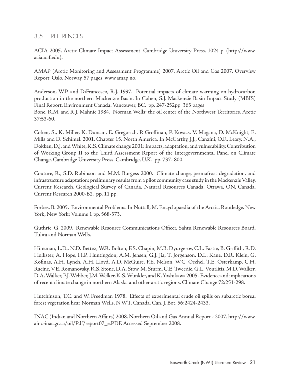#### 3.5 REFERENCES

ACIA 2005. Arctic Climate Impact Assessment. Cambridge University Press. 1024 p. (http://www. acia.uaf.edu).

AMAP (Arctic Monitoring and Assessment Programme) 2007. Arctic Oil and Gas 2007. Overview Report. Oslo, Norway. 57 pages. www.amap.no.

Anderson, W.P. and DiFrancesco, R.J. 1997. Potential impacts of climate warming on hydrocarbon production in the northern Mackenzie Basin. In Cohen, S.J. Mackenzie Basin Impact Study (MBIS) Final Report. Environment Canada. Vancouver, BC. pp. 247-252pp 365 pages Bone, R.M. and R.J. Mahnic 1984. Norman Wells: the oil center of the Northwest Territories. Arctic 37:53-60.

Cohen, S., K. Miller, K. Duncan, E. Gregorich, P. Groffman, P. Kovacs, V. Magana, D. McKnight, E. Mills and D. Schimel. 2001. Chapter 15. North America. In McCarthy, J.J., Canzini, O.F., Leary, N.A., Dokken, D.J. and White, K.S. Climate change 2001: Impacts, adaptation, and vulnerability. Contribution of Working Group II to the Third Assessment Report of the Intergovernmental Panel on Climate Change. Cambridge University Press. Cambridge, U.K. pp. 737- 800.

Couture, R., S.D. Robinson and M.M. Burgess 2000. Climate change, permafrost degradation, and infrastructure adaptation: preliminary results from a pilot community case study in the Mackenzie Valley. Current Research. Geological Survey of Canada, Natural Resources Canada. Ottawa, ON, Canada. Current Research 2000-B2. pp. 11 pp.

Forbes, B. 2005. Environmental Problems. In Nuttall, M. Encyclopaedia of the Arctic. Routledge. New York, New York; Volume 1 pp. 568-573.

Guthrie, G. 2009. Renewable Resource Communications Officer, Sahtu Renewable Resources Board. Tulita and Norman Wells.

Hinzman, L.D., N.D. Bettez, W.R. Bolton, F.S. Chapin, M.B. Dyurgerov, C.L. Fastie, B. Griffith, R.D. Hollister, A. Hope, H.P. Huntingdon, A.M. Jensen, G.J. Jia, T. Jorgenson, D.L. Kane, D.R. Klein, G. Kofinas, A.H. Lynch, A.H. Lloyd, A.D. McGuire, F.E. Nelson, W.C. Oechel, T.E. Osterkamp, C.H. Racine, V.E. Romanovsky, R.S. Stone, D.A. Stow, M. Sturm, C.E. Tweedie, G.L. Vourlitis, M.D. Walker, D.A. Walker, P.J. Webber, J.M. Welker, K.S. Wunkler, and K. Yoshikawa 2005. Evidence and implications of recent climate change in northern Alaska and other arctic regions. Climate Change 72:251-298.

Hutchinson, T.C. and W. Freedman 1978. Effects of experimental crude oil spills on subarctic boreal forest vegetation hear Norman Wells, N.W.T. Canada. Can. J. Bot. 56:2424-2433.

INAC (Indian and Northern Affairs) 2008. Northern Oil and Gas Annual Report - 2007. http://www. ainc-inac.gc.ca/oil/Pdf/report07\_e.PDF. Accessed September 2008.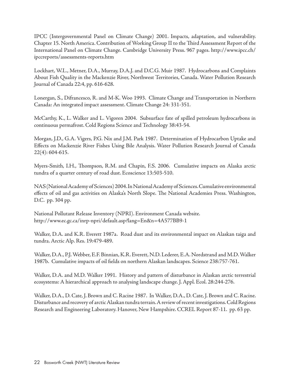IPCC (Intergovernmental Panel on Climate Change) 2001. Impacts, adaptation, and vulnerability. Chapter 15. North America. Contribution of Working Group II to the Third Assessment Report of the International Panel on Climate Change. Cambridge University Press. 967 pages. http://www.ipcc.ch/ ipccreports/assessments-reports.htm

Lockhart, W.L., Metner, D.A., Murray, D.A.J. and D.C.G. Muir 1987. Hydrocarbons and Complaints About Fish Quality in the Mackenzie River, Northwest Territories, Canada. Water Pollution Research Journal of Canada 22:4, pp. 616-628.

Lonergan, S., Difrancesco, R. and M-K. Woo 1993. Climate Change and Transportation in Northern Canada: An integrated impact assessment. Climate Change 24: 331-351.

McCarthy, K., L. Walker and L. Vigoren 2004. Subsurface fate of spilled petroleum hydrocarbons in continuous permafrost. Cold Regions Science and Technology 38:43-54.

Morgan, J.D., G.A. Vigers, P.G. Nix and J.M. Park 1987. Determination of Hydrocarbon Uptake and Effects on Mackenzie River Fishes Using Bile Analysis. Water Pollution Research Journal of Canada 22(4): 604-615.

Myers-Smith, I.H., Thompson, R.M. and Chapin, F.S. 2006. Cumulative impacts on Alaska arctic tundra of a quarter century of road dust. Ecoscience 13:503-510.

NAS (National Academy of Sciences) 2004. In National Academy of Sciences. Cumulative environmental effects of oil and gas activities on Alaska's North Slope. The National Academies Press. Washington, D.C. pp. 304 pp.

National Pollutant Release Inventory (NPRI). Environment Canada website. http://www.ec.gc.ca/inrp-npri/default.asp?lang=En&n=4A577BB9-1

Walker, D.A. and K.R. Everett 1987a. Road dust and its environmental impact on Alaskan taiga and tundra. Arctic Alp. Res. 19:479-489.

Walker, D.A., P.J. Webber, E.F. Binnian, K.R. Everett, N.D. Lederer, E.A. Nordstrand and M.D. Walker 1987b. Cumulative impacts of oil fields on northern Alaskan landscapes. Science 238:757-761.

Walker, D.A. and M.D. Walker 1991. History and pattern of disturbance in Alaskan arctic terrestrial ecosystems: A hierarchical approach to analysing landscape change. J. Appl. Ecol. 28:244-276.

Walker, D.A., D. Cate, J. Brown and C. Racine 1987. In Walker, D.A., D. Cate, J. Brown and C. Racine. Disturbance and recovery of arctic Alaskan tundra terrain. A review of recent investigations. Cold Regions Research and Engineering Laboratory. Hanover, New Hampshire. CCREL Report 87-11. pp. 63 pp.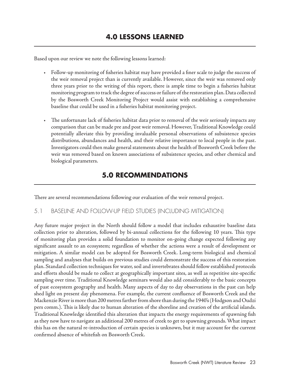Based upon our review we note the following lessons learned:

- t Follow-up monitoring of fisheries habitat may have provided a finer scale to judge the success of the weir removal project than is currently available. However, since the weir was removed only three years prior to the writing of this report, there is ample time to begin a fisheries habitat monitoring program to track the degree of success or failure of the restoration plan. Data collected by the Bosworth Creek Monitoring Project would assist with establishing a comprehensive baseline that could be used in a fisheries habitat monitoring project.
- t The unfortunate lack of fisheries habitat data prior to removal of the weir seriously impacts any comparison that can be made pre and post weir removal. However, Traditional Knowledge could potentially alleviate this by providing invaluable personal observations of subsistence species distributions, abundances and health, and their relative importance to local people in the past. Investigators could then make general statements about the health of Bosworth Creek before the weir was removed based on known associations of subsistence species, and other chemical and biological parameters.

# **5.0 RECOMMENDATIONS**

There are several recommendations following our evaluation of the weir removal project.

#### 5.1 BASELINE AND FOLLOW-UP FIELD STUDIES (INCLUDING MITIGATION)

Any future major project in the North should follow a model that includes exhaustive baseline data collection prior to alteration, followed by bi-annual collections for the following 10 years. This type of monitoring plan provides a solid foundation to monitor on-going change expected following any significant assault to an ecosystem; regardless of whether the actions were a result of development or mitigation. A similar model can be adopted for Bosworth Creek. Long-term biological and chemical sampling and analyses that builds on previous studies could demonstrate the success of this restoration plan. Standard collection techniques for water, soil and invertebrates should follow established protocols and efforts should be made to collect at geographically important sites, as well as repetitive site-specific sampling over time. Traditional Knowledge seminars would also add considerably to the basic concepts of past ecosystem geography and health. Many aspects of day to day observations in the past can help shed light on present day phenomena. For example, the current confluence of Bosworth Creek and the Mackenzie River is more than 200 metres farther from shore than during the 1940's (Hodgson and Oudzi pers comm.). This is likely due to human alteration of the shoreline and creation of the artificial islands. Traditional Knowledge identified this alteration that impacts the energy requirements of spawning fish as they now have to navigate an additional 200 metres of creek to get to spawning grounds. What impact this has on the natural re-introduction of certain species is unknown, but it may account for the current confirmed absence of whitefish on Bosworth Creek.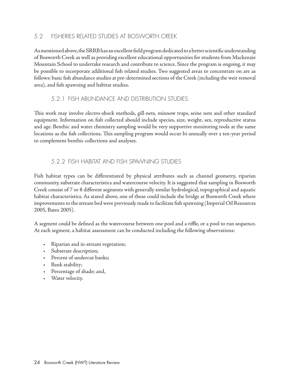#### 5.2 FISHERIES RELATED STUDIES AT BOSWORTH CREEK

As mentioned above, the SRRB has an excellent field program dedicated to a better scientific understanding of Bosworth Creek as well as providing excellent educational opportunities for students from Mackenzie Mountain School to undertake research and contribute to science. Since the program is ongoing, it may be possible to incorporate additional fish related studies. Two suggested areas to concentrate on are as follows: basic fish abundance studies at pre-determined sections of the Creek (including the weir removal area), and fish spawning and habitat studies.

#### 5.2.1 FISH ABUNDANCE AND DISTRIBUTION STUDIES

This work may involve electro-shock methods, gill-nets, minnow traps, seine nets and other standard equipment. Information on fish collected should include species, size, weight, sex, reproductive status and age. Benthic and water chemistry sampling would be very supportive monitoring tools at the same locations as the fish collections. This sampling program would occur bi-annually over a ten-year period to complement benthic collections and analyses.

#### 5.2.2 FISH HABITAT AND FISH SPAWNING STUDIES

Fish habitat types can be differentiated by physical attributes such as channel geometry, riparian community, substrate characteristics and watercourse velocity. It is suggested that sampling in Bosworth Creek consist of 7 or 8 different segments with generally similar hydrological, topographical and aquatic habitat characteristics. As stated above, one of these could include the bridge at Bosworth Creek where improvements to the stream bed were previously made to facilitate fish spawning (Imperial Oil Resources 2005, Bates 2005).

A segment could be defined as the watercourse between one pool and a riffle, or a pool to run sequence. At each segment, a habitat assessment can be conducted including the following observations:

- Riparian and in-stream vegetation;
- Substrate description;
- + Percent of undercut banks;
- + Bank stability;
- Percentage of shade; and,
- + Water velocity.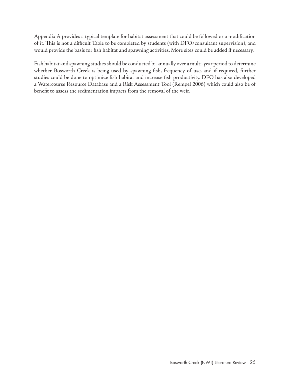Appendix A provides a typical template for habitat assessment that could be followed or a modification of it. This is not a difficult Table to be completed by students (with DFO/consultant supervision), and would provide the basis for fish habitat and spawning activities. More sites could be added if necessary.

Fish habitat and spawning studies should be conducted bi-annually over a multi-year period to determine whether Bosworth Creek is being used by spawning fish, frequency of use, and if required, further studies could be done to optimize fish habitat and increase fish productivity. DFO has also developed a Watercourse Resource Database and a Risk Assessment Tool (Rempel 2006) which could also be of benefit to assess the sedimentation impacts from the removal of the weir.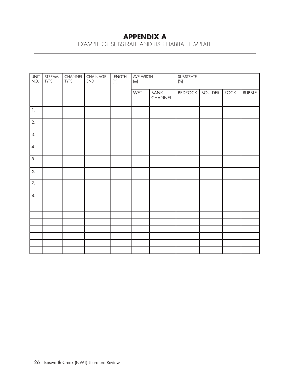# **APPENDIX A**

EXAMPLE OF SUBSTRATE AND FISH HABITAT TEMPLATE

| <b>UNIT</b><br>NO. | STREAM<br><b>TYPE</b> | CHANNEL<br>TYPE | CHAINAGE<br><b>END</b> | <b>LENGTH</b><br>(m) | AVE WIDTH<br>(m) |                        | SUBSTRATE<br>$\left(\%\right)$ |                |      |        |
|--------------------|-----------------------|-----------------|------------------------|----------------------|------------------|------------------------|--------------------------------|----------------|------|--------|
|                    |                       |                 |                        |                      | WET              | <b>BANK</b><br>CHANNEL | <b>BEDROCK</b>                 | <b>BOULDER</b> | ROCK | RUBBLE |
| 1.                 |                       |                 |                        |                      |                  |                        |                                |                |      |        |
| 2.                 |                       |                 |                        |                      |                  |                        |                                |                |      |        |
| 3.                 |                       |                 |                        |                      |                  |                        |                                |                |      |        |
| $\overline{4}$ .   |                       |                 |                        |                      |                  |                        |                                |                |      |        |
| 5.                 |                       |                 |                        |                      |                  |                        |                                |                |      |        |
| 6.                 |                       |                 |                        |                      |                  |                        |                                |                |      |        |
| $\overline{7}$ .   |                       |                 |                        |                      |                  |                        |                                |                |      |        |
| 8.                 |                       |                 |                        |                      |                  |                        |                                |                |      |        |
|                    |                       |                 |                        |                      |                  |                        |                                |                |      |        |
|                    |                       |                 |                        |                      |                  |                        |                                |                |      |        |
|                    |                       |                 |                        |                      |                  |                        |                                |                |      |        |
|                    |                       |                 |                        |                      |                  |                        |                                |                |      |        |
|                    |                       |                 |                        |                      |                  |                        |                                |                |      |        |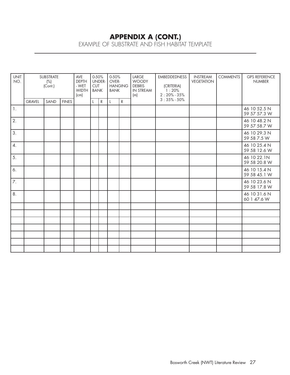# **APPENDIX A (CONT.)**

EXAMPLE OF SUBSTRATE AND FISH HABITAT TEMPLATE

| <b>UNIT</b><br>NO. | SUBSTRATE<br>(%)<br>(Cont.) |      |              | AVE<br><b>DEPTH</b><br>- WET<br><b>WIDTH</b><br>(cm) | 0-50%<br>UNDER-<br><b>CUT</b><br><b>BANK</b> |           | 0-50%<br>OVER-<br><b>HANGING</b><br><b>BANK</b> |             | LARGE<br><b>WOODY</b><br><b>DEBRIS</b><br>IN STREAM<br>(m) | <b>EMBEDDEDNESS</b><br>(CRITERIA)<br>1:20%<br>$2:20\% - 35\%$ | <b>INSTREAM</b><br><b>VEGETATION</b> | <b>COMMENTS</b> | <b>GPS REFERENCE</b><br><b>NUMBER</b> |
|--------------------|-----------------------------|------|--------------|------------------------------------------------------|----------------------------------------------|-----------|-------------------------------------------------|-------------|------------------------------------------------------------|---------------------------------------------------------------|--------------------------------------|-----------------|---------------------------------------|
|                    | <b>GRAVEL</b>               | SAND | <b>FINES</b> |                                                      |                                              | ${\sf R}$ | L                                               | $\mathsf R$ |                                                            | $3:35\% - 50\%$                                               |                                      |                 |                                       |
| $\mathbf{1}$ .     |                             |      |              |                                                      |                                              |           |                                                 |             |                                                            |                                                               |                                      |                 | 46 10 52.5 N<br>59 57 57.3 W          |
| 2.                 |                             |      |              |                                                      |                                              |           |                                                 |             |                                                            |                                                               |                                      |                 | 46 10 48.2 N<br>59 57 58.7 W          |
| 3.                 |                             |      |              |                                                      |                                              |           |                                                 |             |                                                            |                                                               |                                      |                 | 46 10 29.3 N<br>59 58 7.5 W           |
| $\overline{4}$ .   |                             |      |              |                                                      |                                              |           |                                                 |             |                                                            |                                                               |                                      |                 | 46 10 25.4 N<br>59 58 12.6 W          |
| 5.                 |                             |      |              |                                                      |                                              |           |                                                 |             |                                                            |                                                               |                                      |                 | 46 10 22.1N<br>59 58 20.8 W           |
| 6.                 |                             |      |              |                                                      |                                              |           |                                                 |             |                                                            |                                                               |                                      |                 | 46 10 15.4 N<br>59 58 45.1 W          |
| 7.                 |                             |      |              |                                                      |                                              |           |                                                 |             |                                                            |                                                               |                                      |                 | 46 10 23.6 N<br>59 58 17.8 W          |
| 8.                 |                             |      |              |                                                      |                                              |           |                                                 |             |                                                            |                                                               |                                      |                 | 46 10 31.6 N<br>60 1 47.6 W           |
|                    |                             |      |              |                                                      |                                              |           |                                                 |             |                                                            |                                                               |                                      |                 |                                       |
|                    |                             |      |              |                                                      |                                              |           |                                                 |             |                                                            |                                                               |                                      |                 |                                       |
|                    |                             |      |              |                                                      |                                              |           |                                                 |             |                                                            |                                                               |                                      |                 |                                       |
|                    |                             |      |              |                                                      |                                              |           |                                                 |             |                                                            |                                                               |                                      |                 |                                       |
|                    |                             |      |              |                                                      |                                              |           |                                                 |             |                                                            |                                                               |                                      |                 |                                       |
|                    |                             |      |              |                                                      |                                              |           |                                                 |             |                                                            |                                                               |                                      |                 |                                       |
|                    |                             |      |              |                                                      |                                              |           |                                                 |             |                                                            |                                                               |                                      |                 |                                       |